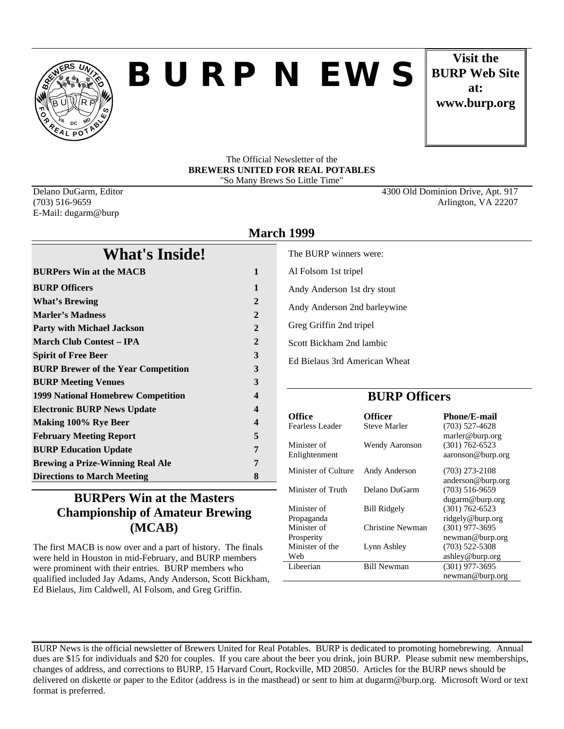

# *BURP NEWS*

**Visit the BURP Web Site at: www.burp.org**

#### The Official Newsletter of the **BREWERS UNITED FOR REAL POTABLES** "So Many Brews So Little Time"

E-Mail: dugarm@burp

Delano DuGarm, Editor 4300 Old Dominion Drive, Apt. 917 (703) 516-9659 Arlington, VA 22207

|                                            | <b>March 1999</b> |                    |
|--------------------------------------------|-------------------|--------------------|
| <b>What's Inside!</b>                      |                   | The BU             |
| <b>BURPers Win at the MACB</b>             | $\mathbf{1}$      | Al Fols            |
| <b>BURP Officers</b>                       | $\mathbf{1}$      | Andy $A$           |
| <b>What's Brewing</b>                      | $\mathbf{2}$      | Andy $A$           |
| <b>Marler's Madness</b>                    | $\overline{2}$    |                    |
| <b>Party with Michael Jackson</b>          | $\overline{2}$    | Greg G             |
| <b>March Club Contest – IPA</b>            | $\mathbf{2}$      | <b>Scott B</b>     |
| <b>Spirit of Free Beer</b>                 | 3                 | Ed Biel            |
| <b>BURP Brewer of the Year Competition</b> | 3                 |                    |
| <b>BURP Meeting Venues</b>                 | 3                 |                    |
| <b>1999 National Homebrew Competition</b>  | 4                 |                    |
| <b>Electronic BURP News Update</b>         | 4                 |                    |
| Making 100% Rye Beer                       | 4                 | Office<br>Fearless |
| <b>February Meeting Report</b>             | 5                 |                    |
| <b>BURP Education Update</b>               | 7                 | Minister           |
| <b>Brewing a Prize-Winning Real Ale</b>    | 7                 | Enlighte           |
| <b>Directions to March Meeting</b>         | 8                 | Minister           |

# The BURP winners were: Al Folsom 1st tripel Andy Anderson 1st dry stout Andy Anderson 2nd barleywine Greg Griffin 2nd tripel Scott Bickham 2nd lambic

Ed Bielaus 3rd American Wheat

## **BURP Officers**

| Office                        | Officer             | <b>Phone/E-mail</b>                     |
|-------------------------------|---------------------|-----------------------------------------|
| Fearless Leader               | <b>Steve Marler</b> | $(703)$ 527-4628<br>marler@burp.org     |
| Minister of<br>Enlightenment  | Wendy Aaronson      | $(301) 762 - 6523$<br>aaronson@burp.org |
| Minister of Culture           | Andy Anderson       | $(703)$ 273-2108                        |
| Minister of Truth             | Delano DuGarm       | anderson@burp.org<br>$(703)$ 516-9659   |
|                               |                     | dugarm@burp.org                         |
| Minister of<br>Propaganda     | <b>Bill Ridgely</b> | $(301) 762 - 6523$<br>ridgely@burp.org  |
| Minister of                   | Christine Newman    | $(301)$ 977-3695                        |
| Prosperity<br>Minister of the | Lynn Ashley         | newman@burp.org<br>$(703)$ 522-5308     |
| Web                           |                     | ashley@burp.org                         |
| Libeerian                     | <b>Bill Newman</b>  | $(301)$ 977-3695                        |
|                               |                     | newman@burp.org                         |

## **BURPers Win at the Masters Championship of Amateur Brewing (MCAB)**

The first MACB is now over and a part of history. The finals were held in Houston in mid-February, and BURP members were prominent with their entries. BURP members who qualified included Jay Adams, Andy Anderson, Scott Bickham, Ed Bielaus, Jim Caldwell, Al Folsom, and Greg Griffin.

BURP News is the official newsletter of Brewers United for Real Potables. BURP is dedicated to promoting homebrewing. Annual dues are \$15 for individuals and \$20 for couples. If you care about the beer you drink, join BURP. Please submit new memberships, changes of address, and corrections to BURP, 15 Harvard Court, Rockville, MD 20850. Articles for the BURP news should be delivered on diskette or paper to the Editor (address is in the masthead) or sent to him at dugarm@burp.org. Microsoft Word or text format is preferred.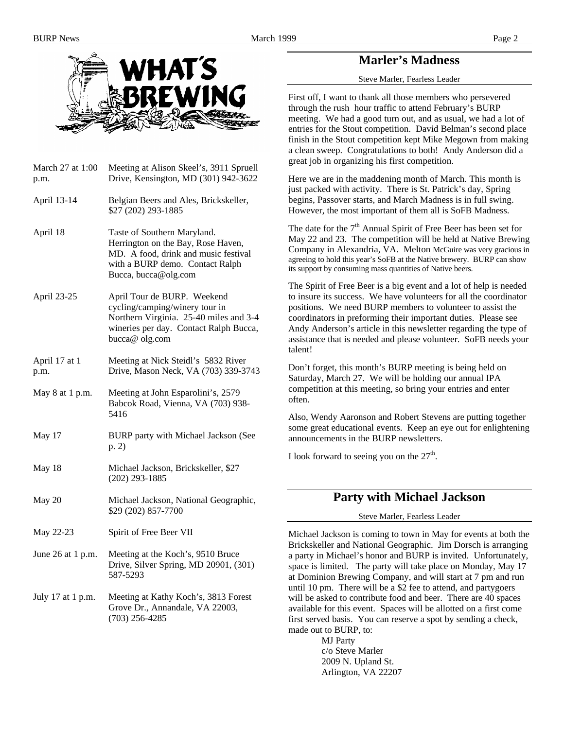

## **Marler's Madness**

Steve Marler, Fearless Leader

First off, I want to thank all those members who persevered through the rush hour traffic to attend February's BURP meeting. We had a good turn out, and as usual, we had a lot of entries for the Stout competition. David Belman's second place finish in the Stout competition kept Mike Megown from making a clean sweep. Congratulations to both! Andy Anderson did a great job in organizing his first competition.

Here we are in the maddening month of March. This month is just packed with activity. There is St. Patrick's day, Spring begins, Passover starts, and March Madness is in full swing. However, the most important of them all is SoFB Madness.

The date for the  $7<sup>th</sup>$  Annual Spirit of Free Beer has been set for May 22 and 23. The competition will be held at Native Brewing Company in Alexandria, VA. Melton McGuire was very gracious in agreeing to hold this year's SoFB at the Native brewery. BURP can show its support by consuming mass quantities of Native beers.

The Spirit of Free Beer is a big event and a lot of help is needed to insure its success. We have volunteers for all the coordinator positions. We need BURP members to volunteer to assist the coordinators in preforming their important duties. Please see Andy Anderson's article in this newsletter regarding the type of assistance that is needed and please volunteer. SoFB needs your talent!

Don't forget, this month's BURP meeting is being held on Saturday, March 27. We will be holding our annual IPA competition at this meeting, so bring your entries and enter often.

Also, Wendy Aaronson and Robert Stevens are putting together some great educational events. Keep an eye out for enlightening announcements in the BURP newsletters.

I look forward to seeing you on the  $27<sup>th</sup>$ .

### **Party with Michael Jackson**

Steve Marler, Fearless Leader

Michael Jackson is coming to town in May for events at both the Brickskeller and National Geographic. Jim Dorsch is arranging a party in Michael's honor and BURP is invited. Unfortunately, space is limited. The party will take place on Monday, May 17 at Dominion Brewing Company, and will start at 7 pm and run until 10 pm. There will be a \$2 fee to attend, and partygoers will be asked to contribute food and beer. There are 40 spaces available for this event. Spaces will be allotted on a first come first served basis. You can reserve a spot by sending a check, made out to BURP, to:

> MJ Party c/o Steve Marler 2009 N. Upland St. Arlington, VA 22207

March 27 at 1:00 p.m. Meeting at Alison Skeel's, 3911 Spruell Drive, Kensington, MD (301) 942-3622 April 13-14 Belgian Beers and Ales, Brickskeller, \$27 (202) 293-1885 April 18 Taste of Southern Maryland. Herrington on the Bay, Rose Haven, MD. A food, drink and music festival with a BURP demo. Contact Ralph Bucca, bucca@olg.com April 23-25 April Tour de BURP. Weekend cycling/camping/winery tour in Northern Virginia. 25-40 miles and 3-4 wineries per day. Contact Ralph Bucca, bucca@ olg.com April 17 at 1 p.m. Meeting at Nick Steidl's 5832 River Drive, Mason Neck, VA (703) 339-3743 May 8 at 1 p.m. Meeting at John Esparolini's, 2579 Babcok Road, Vienna, VA (703) 938- 5416 May 17 BURP party with Michael Jackson (See p. 2) May 18 Michael Jackson, Brickskeller, \$27 (202) 293-1885 May 20 Michael Jackson, National Geographic, \$29 (202) 857-7700 May 22-23 Spirit of Free Beer VII

- June 26 at 1 p.m. Meeting at the Koch's, 9510 Bruce Drive, Silver Spring, MD 20901, (301) 587-5293
- July 17 at 1 p.m. Meeting at Kathy Koch's, 3813 Forest Grove Dr., Annandale, VA 22003, (703) 256-4285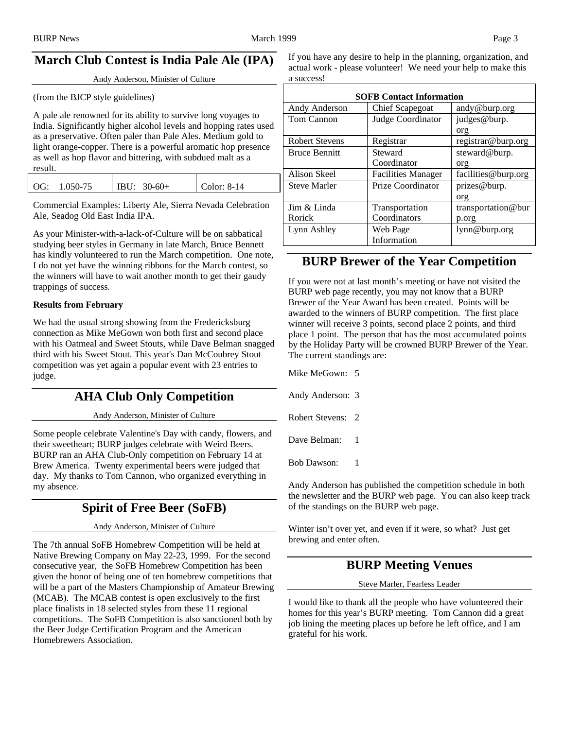# **March Club Contest is India Pale Ale (IPA)**

Andy Anderson, Minister of Culture

(from the BJCP style guidelines)

A pale ale renowned for its ability to survive long voyages to India. Significantly higher alcohol levels and hopping rates used as a preservative. Often paler than Pale Ales. Medium gold to light orange-copper. There is a powerful aromatic hop presence as well as hop flavor and bittering, with subdued malt as a result.

|     |          |                  |             | - тизоп к |
|-----|----------|------------------|-------------|-----------|
| OG: | 1.050-75 | IBU:<br>$30-60+$ | Color: 8-14 | Steve M   |
|     |          |                  |             |           |

Commercial Examples: Liberty Ale, Sierra Nevada Celebration Ale, Seadog Old East India IPA.

As your Minister-with-a-lack-of-Culture will be on sabbatical studying beer styles in Germany in late March, Bruce Bennett has kindly volunteered to run the March competition. One note, I do not yet have the winning ribbons for the March contest, so the winners will have to wait another month to get their gaudy trappings of success.

#### **Results from February**

We had the usual strong showing from the Fredericksburg connection as Mike MeGown won both first and second place with his Oatmeal and Sweet Stouts, while Dave Belman snagged third with his Sweet Stout. This year's Dan McCoubrey Stout competition was yet again a popular event with 23 entries to judge.

## **AHA Club Only Competition**

Andy Anderson, Minister of Culture

Some people celebrate Valentine's Day with candy, flowers, and their sweetheart; BURP judges celebrate with Weird Beers. BURP ran an AHA Club-Only competition on February 14 at Brew America. Twenty experimental beers were judged that day. My thanks to Tom Cannon, who organized everything in my absence.

# **Spirit of Free Beer (SoFB)**

#### Andy Anderson, Minister of Culture

The 7th annual SoFB Homebrew Competition will be held at Native Brewing Company on May 22-23, 1999. For the second consecutive year, the SoFB Homebrew Competition has been given the honor of being one of ten homebrew competitions that will be a part of the Masters Championship of Amateur Brewing (MCAB). The MCAB contest is open exclusively to the first place finalists in 18 selected styles from these 11 regional competitions. The SoFB Competition is also sanctioned both by the Beer Judge Certification Program and the American Homebrewers Association.

If you have any desire to help in the planning, organization, and actual work - please volunteer! We need your help to make this a success!

| <b>SOFB Contact Information</b> |                           |                     |  |
|---------------------------------|---------------------------|---------------------|--|
| Andy Anderson                   | <b>Chief Scapegoat</b>    | andy@burp.org       |  |
| Tom Cannon                      | Judge Coordinator         | judges@burp.        |  |
|                                 |                           | org                 |  |
| <b>Robert Stevens</b>           | Registrar                 | registrar@burp.org  |  |
| <b>Bruce Bennitt</b>            | Steward                   | steward@burp.       |  |
|                                 | Coordinator               | org                 |  |
| Alison Skeel                    | <b>Facilities Manager</b> | facilities@burp.org |  |
| <b>Steve Marler</b>             | Prize Coordinator         | prizes@burp.        |  |
|                                 |                           | org                 |  |
| Jim & Linda                     | Transportation            | transportation@bur  |  |
| <b>Rorick</b>                   | Coordinators              | p.org               |  |
| Lynn Ashley                     | Web Page                  | lynn@burp.org       |  |
|                                 | Information               |                     |  |

## **BURP Brewer of the Year Competition**

If you were not at last month's meeting or have not visited the BURP web page recently, you may not know that a BURP Brewer of the Year Award has been created. Points will be awarded to the winners of BURP competition. The first place winner will receive 3 points, second place 2 points, and third place 1 point. The person that has the most accumulated points by the Holiday Party will be crowned BURP Brewer of the Year. The current standings are:

Mike MeGown: 5

Andy Anderson: 3

Robert Stevens: 2

Dave Belman: 1

Bob Dawson: 1

Andy Anderson has published the competition schedule in both the newsletter and the BURP web page. You can also keep track of the standings on the BURP web page.

Winter isn't over yet, and even if it were, so what? Just get brewing and enter often.

## **BURP Meeting Venues**

Steve Marler, Fearless Leader

I would like to thank all the people who have volunteered their homes for this year's BURP meeting. Tom Cannon did a great job lining the meeting places up before he left office, and I am grateful for his work.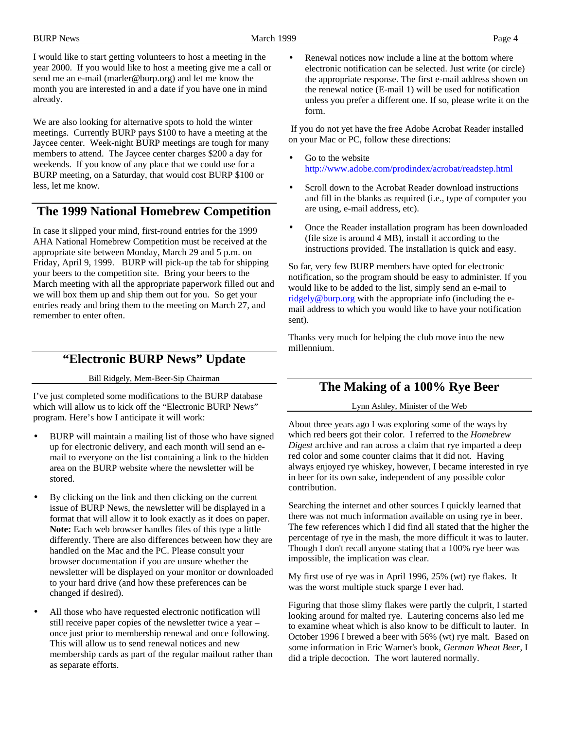I would like to start getting volunteers to host a meeting in the year 2000. If you would like to host a meeting give me a call or send me an e-mail (marler@burp.org) and let me know the month you are interested in and a date if you have one in mind already.

We are also looking for alternative spots to hold the winter meetings. Currently BURP pays \$100 to have a meeting at the Jaycee center. Week-night BURP meetings are tough for many members to attend. The Jaycee center charges \$200 a day for weekends. If you know of any place that we could use for a BURP meeting, on a Saturday, that would cost BURP \$100 or less, let me know.

# **The 1999 National Homebrew Competition**

In case it slipped your mind, first-round entries for the 1999 AHA National Homebrew Competition must be received at the appropriate site between Monday, March 29 and 5 p.m. on Friday, April 9, 1999. BURP will pick-up the tab for shipping your beers to the competition site. Bring your beers to the March meeting with all the appropriate paperwork filled out and we will box them up and ship them out for you. So get your entries ready and bring them to the meeting on March 27, and remember to enter often.

# **"Electronic BURP News" Update**

Bill Ridgely, Mem-Beer-Sip Chairman

I've just completed some modifications to the BURP database which will allow us to kick off the "Electronic BURP News" program. Here's how I anticipate it will work:

- BURP will maintain a mailing list of those who have signed up for electronic delivery, and each month will send an email to everyone on the list containing a link to the hidden area on the BURP website where the newsletter will be stored.
- By clicking on the link and then clicking on the current issue of BURP News, the newsletter will be displayed in a format that will allow it to look exactly as it does on paper. **Note:** Each web browser handles files of this type a little differently. There are also differences between how they are handled on the Mac and the PC. Please consult your browser documentation if you are unsure whether the newsletter will be displayed on your monitor or downloaded to your hard drive (and how these preferences can be changed if desired).
- All those who have requested electronic notification will still receive paper copies of the newsletter twice a year – once just prior to membership renewal and once following. This will allow us to send renewal notices and new membership cards as part of the regular mailout rather than as separate efforts.

Renewal notices now include a line at the bottom where electronic notification can be selected. Just write (or circle) the appropriate response. The first e-mail address shown on the renewal notice (E-mail 1) will be used for notification unless you prefer a different one. If so, please write it on the form.

 If you do not yet have the free Adobe Acrobat Reader installed on your Mac or PC, follow these directions:

- Go to the website http://www.adobe.com/prodindex/acrobat/readstep.html
- Scroll down to the Acrobat Reader download instructions and fill in the blanks as required (i.e., type of computer you are using, e-mail address, etc).
- Once the Reader installation program has been downloaded (file size is around 4 MB), install it according to the instructions provided. The installation is quick and easy.

So far, very few BURP members have opted for electronic notification, so the program should be easy to administer. If you would like to be added to the list, simply send an e-mail to ridgely@burp.org with the appropriate info (including the email address to which you would like to have your notification sent).

Thanks very much for helping the club move into the new millennium.

# **The Making of a 100% Rye Beer**

### Lynn Ashley, Minister of the Web

About three years ago I was exploring some of the ways by which red beers got their color. I referred to the *Homebrew Digest* archive and ran across a claim that rye imparted a deep red color and some counter claims that it did not. Having always enjoyed rye whiskey, however, I became interested in rye in beer for its own sake, independent of any possible color contribution.

Searching the internet and other sources I quickly learned that there was not much information available on using rye in beer. The few references which I did find all stated that the higher the percentage of rye in the mash, the more difficult it was to lauter. Though I don't recall anyone stating that a 100% rye beer was impossible, the implication was clear.

My first use of rye was in April 1996, 25% (wt) rye flakes. It was the worst multiple stuck sparge I ever had.

Figuring that those slimy flakes were partly the culprit, I started looking around for malted rye. Lautering concerns also led me to examine wheat which is also know to be difficult to lauter. In October 1996 I brewed a beer with 56% (wt) rye malt. Based on some information in Eric Warner's book, *German Wheat Beer*, I did a triple decoction. The wort lautered normally.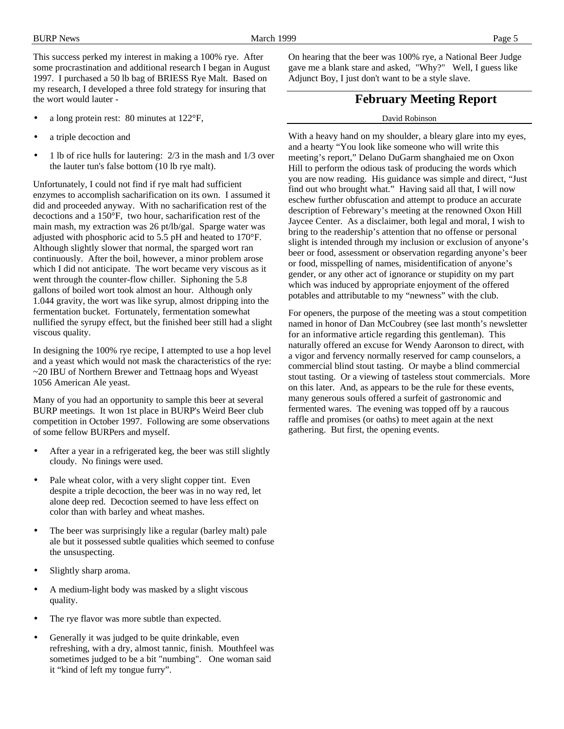This success perked my interest in making a 100% rye. After some procrastination and additional research I began in August 1997. I purchased a 50 lb bag of BRIESS Rye Malt. Based on my research, I developed a three fold strategy for insuring that the wort would lauter -

- a long protein rest: 80 minutes at 122°F,
- a triple decoction and
- 1 lb of rice hulls for lautering: 2/3 in the mash and 1/3 over the lauter tun's false bottom (10 lb rye malt).

Unfortunately, I could not find if rye malt had sufficient enzymes to accomplish sacharification on its own. I assumed it did and proceeded anyway. With no sacharification rest of the decoctions and a 150°F, two hour, sacharification rest of the main mash, my extraction was 26 pt/lb/gal. Sparge water was adjusted with phosphoric acid to 5.5 pH and heated to 170°F. Although slightly slower that normal, the sparged wort ran continuously. After the boil, however, a minor problem arose which I did not anticipate. The wort became very viscous as it went through the counter-flow chiller. Siphoning the 5.8 gallons of boiled wort took almost an hour. Although only 1.044 gravity, the wort was like syrup, almost dripping into the fermentation bucket. Fortunately, fermentation somewhat nullified the syrupy effect, but the finished beer still had a slight viscous quality.

In designing the 100% rye recipe, I attempted to use a hop level and a yeast which would not mask the characteristics of the rye: ~20 IBU of Northern Brewer and Tettnaag hops and Wyeast 1056 American Ale yeast.

Many of you had an opportunity to sample this beer at several BURP meetings. It won 1st place in BURP's Weird Beer club competition in October 1997. Following are some observations of some fellow BURPers and myself.

- After a year in a refrigerated keg, the beer was still slightly cloudy. No finings were used.
- Pale wheat color, with a very slight copper tint. Even despite a triple decoction, the beer was in no way red, let alone deep red. Decoction seemed to have less effect on color than with barley and wheat mashes.
- The beer was surprisingly like a regular (barley malt) pale ale but it possessed subtle qualities which seemed to confuse the unsuspecting.
- Slightly sharp aroma.
- A medium-light body was masked by a slight viscous quality.
- The rye flavor was more subtle than expected.
- Generally it was judged to be quite drinkable, even refreshing, with a dry, almost tannic, finish. Mouthfeel was sometimes judged to be a bit "numbing". One woman said it "kind of left my tongue furry".

On hearing that the beer was 100% rye, a National Beer Judge gave me a blank stare and asked, "Why?" Well, I guess like Adjunct Boy, I just don't want to be a style slave.

### **February Meeting Report**

#### David Robinson

With a heavy hand on my shoulder, a bleary glare into my eyes, and a hearty "You look like someone who will write this meeting's report," Delano DuGarm shanghaied me on Oxon Hill to perform the odious task of producing the words which you are now reading. His guidance was simple and direct, "Just find out who brought what." Having said all that, I will now eschew further obfuscation and attempt to produce an accurate description of Febrewary's meeting at the renowned Oxon Hill Jaycee Center. As a disclaimer, both legal and moral, I wish to bring to the readership's attention that no offense or personal slight is intended through my inclusion or exclusion of anyone's beer or food, assessment or observation regarding anyone's beer or food, misspelling of names, misidentification of anyone's gender, or any other act of ignorance or stupidity on my part which was induced by appropriate enjoyment of the offered potables and attributable to my "newness" with the club.

For openers, the purpose of the meeting was a stout competition named in honor of Dan McCoubrey (see last month's newsletter for an informative article regarding this gentleman). This naturally offered an excuse for Wendy Aaronson to direct, with a vigor and fervency normally reserved for camp counselors, a commercial blind stout tasting. Or maybe a blind commercial stout tasting. Or a viewing of tasteless stout commercials. More on this later. And, as appears to be the rule for these events, many generous souls offered a surfeit of gastronomic and fermented wares. The evening was topped off by a raucous raffle and promises (or oaths) to meet again at the next gathering. But first, the opening events.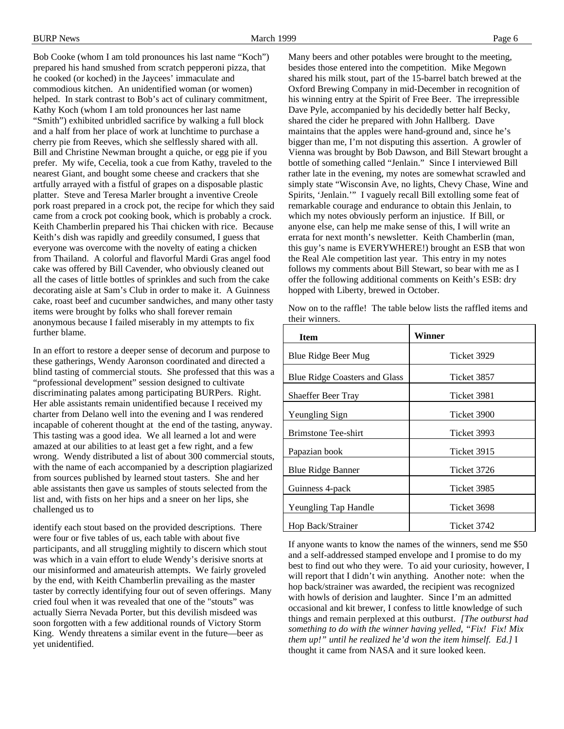Bob Cooke (whom I am told pronounces his last name "Koch") prepared his hand smushed from scratch pepperoni pizza, that he cooked (or koched) in the Jaycees' immaculate and commodious kitchen. An unidentified woman (or women) helped. In stark contrast to Bob's act of culinary commitment, Kathy Koch (whom I am told pronounces her last name "Smith") exhibited unbridled sacrifice by walking a full block and a half from her place of work at lunchtime to purchase a cherry pie from Reeves, which she selflessly shared with all. Bill and Christine Newman brought a quiche, or egg pie if you prefer. My wife, Cecelia, took a cue from Kathy, traveled to the nearest Giant, and bought some cheese and crackers that she artfully arrayed with a fistful of grapes on a disposable plastic platter. Steve and Teresa Marler brought a inventive Creole pork roast prepared in a crock pot, the recipe for which they said came from a crock pot cooking book, which is probably a crock. Keith Chamberlin prepared his Thai chicken with rice. Because Keith's dish was rapidly and greedily consumed, I guess that everyone was overcome with the novelty of eating a chicken from Thailand. A colorful and flavorful Mardi Gras angel food cake was offered by Bill Cavender, who obviously cleaned out all the cases of little bottles of sprinkles and such from the cake decorating aisle at Sam's Club in order to make it. A Guinness cake, roast beef and cucumber sandwiches, and many other tasty items were brought by folks who shall forever remain anonymous because I failed miserably in my attempts to fix further blame.

In an effort to restore a deeper sense of decorum and purpose to these gatherings, Wendy Aaronson coordinated and directed a blind tasting of commercial stouts. She professed that this was a "professional development" session designed to cultivate discriminating palates among participating BURPers. Right. Her able assistants remain unidentified because I received my charter from Delano well into the evening and I was rendered incapable of coherent thought at the end of the tasting, anyway. This tasting was a good idea. We all learned a lot and were amazed at our abilities to at least get a few right, and a few wrong. Wendy distributed a list of about 300 commercial stouts, with the name of each accompanied by a description plagiarized from sources published by learned stout tasters. She and her able assistants then gave us samples of stouts selected from the list and, with fists on her hips and a sneer on her lips, she challenged us to

identify each stout based on the provided descriptions. There were four or five tables of us, each table with about five participants, and all struggling mightily to discern which stout was which in a vain effort to elude Wendy's derisive snorts at our misinformed and amateurish attempts. We fairly groveled by the end, with Keith Chamberlin prevailing as the master taster by correctly identifying four out of seven offerings. Many cried foul when it was revealed that one of the "stouts" was actually Sierra Nevada Porter, but this devilish misdeed was soon forgotten with a few additional rounds of Victory Storm King. Wendy threatens a similar event in the future—beer as yet unidentified.

Many beers and other potables were brought to the meeting, besides those entered into the competition. Mike Megown shared his milk stout, part of the 15-barrel batch brewed at the Oxford Brewing Company in mid-December in recognition of his winning entry at the Spirit of Free Beer. The irrepressible Dave Pyle, accompanied by his decidedly better half Becky, shared the cider he prepared with John Hallberg. Dave maintains that the apples were hand-ground and, since he's bigger than me, I'm not disputing this assertion. A growler of Vienna was brought by Bob Dawson, and Bill Stewart brought a bottle of something called "Jenlain." Since I interviewed Bill rather late in the evening, my notes are somewhat scrawled and simply state "Wisconsin Ave, no lights, Chevy Chase, Wine and Spirits, 'Jenlain.'" I vaguely recall Bill extolling some feat of remarkable courage and endurance to obtain this Jenlain, to which my notes obviously perform an injustice. If Bill, or anyone else, can help me make sense of this, I will write an errata for next month's newsletter. Keith Chamberlin (man, this guy's name is EVERYWHERE!) brought an ESB that won the Real Ale competition last year. This entry in my notes follows my comments about Bill Stewart, so bear with me as I offer the following additional comments on Keith's ESB: dry hopped with Liberty, brewed in October.

Now on to the raffle! The table below lists the raffled items and their winners.

| <b>Item</b>                          | Winner      |
|--------------------------------------|-------------|
| Blue Ridge Beer Mug                  | Ticket 3929 |
| <b>Blue Ridge Coasters and Glass</b> | Ticket 3857 |
| <b>Shaeffer Beer Tray</b>            | Ticket 3981 |
| Yeungling Sign                       | Ticket 3900 |
| <b>Brimstone Tee-shirt</b>           | Ticket 3993 |
| Papazian book                        | Ticket 3915 |
| <b>Blue Ridge Banner</b>             | Ticket 3726 |
| Guinness 4-pack                      | Ticket 3985 |
| Yeungling Tap Handle                 | Ticket 3698 |
| Hop Back/Strainer                    | Ticket 3742 |

If anyone wants to know the names of the winners, send me \$50 and a self-addressed stamped envelope and I promise to do my best to find out who they were. To aid your curiosity, however, I will report that I didn't win anything. Another note: when the hop back/strainer was awarded, the recipient was recognized with howls of derision and laughter. Since I'm an admitted occasional and kit brewer, I confess to little knowledge of such things and remain perplexed at this outburst. *[The outburst had something to do with the winner having yelled, "Fix! Fix! Mix them up!" until he realized he'd won the item himself. Ed.]* I thought it came from NASA and it sure looked keen.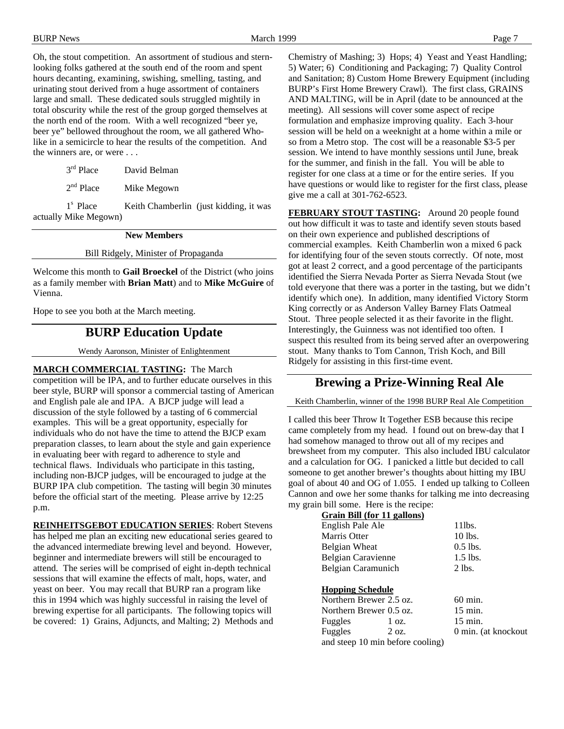Oh, the stout competition. An assortment of studious and sternlooking folks gathered at the south end of the room and spent hours decanting, examining, swishing, smelling, tasting, and urinating stout derived from a huge assortment of containers large and small. These dedicated souls struggled mightily in total obscurity while the rest of the group gorged themselves at the north end of the room. With a well recognized "beer ye, beer ye" bellowed throughout the room, we all gathered Wholike in a semicircle to hear the results of the competition. And the winners are, or were . . .

| $3rd$ Place | David Belman |
|-------------|--------------|
|             |              |

 $2<sup>nd</sup>$  Place Mike Megown

1<sup>s</sup> Place Keith Chamberlin (just kidding, it was actually Mike Megown)

#### **New Members**

#### Bill Ridgely, Minister of Propaganda

Welcome this month to **Gail Broeckel** of the District (who joins as a family member with **Brian Matt**) and to **Mike McGuire** of Vienna.

Hope to see you both at the March meeting.

### **BURP Education Update**

Wendy Aaronson, Minister of Enlightenment

**MARCH COMMERCIAL TASTING:** The March competition will be IPA, and to further educate ourselves in this beer style, BURP will sponsor a commercial tasting of American and English pale ale and IPA. A BJCP judge will lead a discussion of the style followed by a tasting of 6 commercial examples. This will be a great opportunity, especially for individuals who do not have the time to attend the BJCP exam preparation classes, to learn about the style and gain experience in evaluating beer with regard to adherence to style and technical flaws. Individuals who participate in this tasting, including non-BJCP judges, will be encouraged to judge at the BURP IPA club competition. The tasting will begin 30 minutes before the official start of the meeting. Please arrive by 12:25 p.m.

**REINHEITSGEBOT EDUCATION SERIES**: Robert Stevens has helped me plan an exciting new educational series geared to the advanced intermediate brewing level and beyond. However, beginner and intermediate brewers will still be encouraged to attend. The series will be comprised of eight in-depth technical sessions that will examine the effects of malt, hops, water, and yeast on beer. You may recall that BURP ran a program like this in 1994 which was highly successful in raising the level of brewing expertise for all participants. The following topics will be covered: 1) Grains, Adjuncts, and Malting; 2) Methods and Chemistry of Mashing; 3) Hops; 4) Yeast and Yeast Handling; 5) Water; 6) Conditioning and Packaging; 7) Quality Control and Sanitation; 8) Custom Home Brewery Equipment (including BURP's First Home Brewery Crawl). The first class, GRAINS AND MALTING, will be in April (date to be announced at the meeting). All sessions will cover some aspect of recipe formulation and emphasize improving quality. Each 3-hour session will be held on a weeknight at a home within a mile or so from a Metro stop. The cost will be a reasonable \$3-5 per session. We intend to have monthly sessions until June, break for the summer, and finish in the fall. You will be able to register for one class at a time or for the entire series. If you have questions or would like to register for the first class, please give me a call at 301-762-6523.

**FEBRUARY STOUT TASTING:** Around 20 people found out how difficult it was to taste and identify seven stouts based on their own experience and published descriptions of commercial examples. Keith Chamberlin won a mixed 6 pack for identifying four of the seven stouts correctly. Of note, most got at least 2 correct, and a good percentage of the participants identified the Sierra Nevada Porter as Sierra Nevada Stout (we told everyone that there was a porter in the tasting, but we didn't identify which one). In addition, many identified Victory Storm King correctly or as Anderson Valley Barney Flats Oatmeal Stout. Three people selected it as their favorite in the flight. Interestingly, the Guinness was not identified too often. I suspect this resulted from its being served after an overpowering stout. Many thanks to Tom Cannon, Trish Koch, and Bill Ridgely for assisting in this first-time event.

#### **Brewing a Prize-Winning Real Ale**

Keith Chamberlin, winner of the 1998 BURP Real Ale Competition

I called this beer Throw It Together ESB because this recipe came completely from my head. I found out on brew-day that I had somehow managed to throw out all of my recipes and brewsheet from my computer. This also included IBU calculator and a calculation for OG. I panicked a little but decided to call someone to get another brewer's thoughts about hitting my IBU goal of about 40 and OG of 1.055. I ended up talking to Colleen Cannon and owe her some thanks for talking me into decreasing my grain bill some. Here is the recipe:

| Grain Bill (for 11 gallons)                        |                 |                     |
|----------------------------------------------------|-----------------|---------------------|
| English Pale Ale                                   |                 | 11 <sub>l</sub> hs. |
| Marris Otter                                       |                 | 10 lbs.             |
| Belgian Wheat                                      |                 | $0.5$ lbs.          |
| Belgian Caravienne                                 |                 | $1.5$ lbs.          |
| Belgian Caramunich                                 |                 | $2$ lbs.            |
| <b>Hopping Schedule</b><br>Northern Brewer 2.5 oz. |                 | $60 \text{ min}$ .  |
| Northern Brewer 0.5 oz.                            |                 | $15 \text{ min.}$   |
| Fuggles                                            | 1 oz.           | $15 \text{ min}$ .  |
| Fuggles                                            | $2 \text{ oz.}$ | 0 min. (at knockout |
| and steep 10 min before cooling)                   |                 |                     |